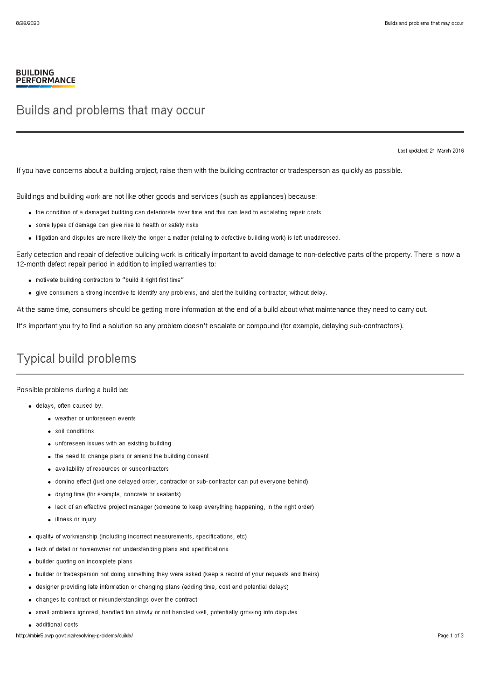## **BUILDING PERFORMANCE**

## Builds and problems that may occur

Last updated: 21 March 2016

If you have concerns about a building project, raise them with the building contractor or tradesperson as quickly as possible.

Buildings and building work are not like other goods and services (such as appliances) because:

- the condition of a damaged building can deteriorate over time and this can lead to escalating repair costs
- some types of damage can give rise to health or safety risks
- litigation and disputes are more likely the longer a matter (relating to defective building work) is left unaddressed.

Early detection and repair of defective building work is critically important to avoid damage to non-defective parts of the property. There is now a 12-month defect repair period in addition to implied warranties to:

- motivate building contractors to "build it right first time"
- give consumers a strong incentive to identify any problems, and alert the building contractor, without delay.

At the same time, consumers should be getting more information at the end of a build about what maintenance they need to carry out.

It's important you try to find a solution so any problem doesn't escalate or compound (for example, delaying sub-contractors).

## Typical build problems

Possible problems during a build be:

- delays, often caused by:
	- weather or unforeseen events
	- soil conditions
	- unforeseen issues with an existing building
	- the need to change plans or amend the building consent
	- availability of resources or subcontractors
	- domino effect (just one delayed order, contractor or sub-contractor can put everyone behind)
	- drying time (for example, concrete or sealants)
	- lack of an effective project manager (someone to keep everything happening, in the right order)
	- illness or injury
- quality of workmanship (including incorrect measurements, specifications, etc)
- lack of detail or homeowner not understanding plans and specifications
- builder quoting on incomplete plans
- builder or tradesperson not doing something they were asked (keep a record of your requests and theirs)
- designer providing late information or changing plans (adding time, cost and potential delays)
- changes to contract or misunderstandings over the contract
- small problems ignored, handled too slowly or not handled well, potentially growing into disputes
- additional costs

http://mbie5.cwp.govt.nz/resolving-problems/builds/ Page 1 of 3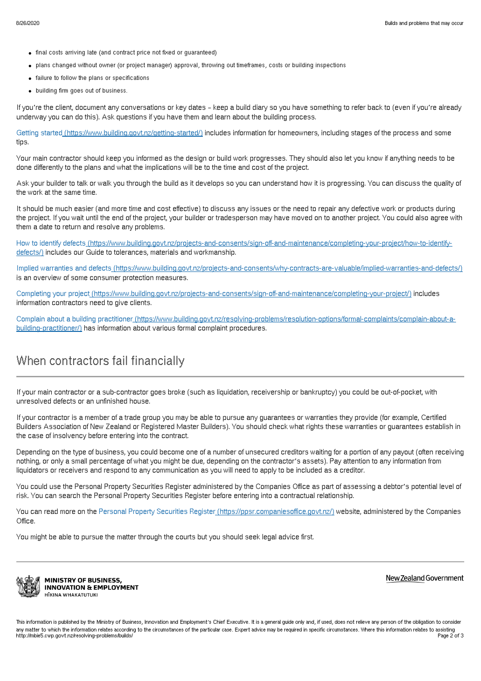- final costs arriving late (and contract price not fixed or guaranteed)
- plans changed without owner (or project manager) approval, throwing out timeframes, costs or building inspections
- failure to follow the plans or specifications
- building firm goes out of business.

If you're the client, document any conversations or key dates – keep a build diary so you have something to refer back to (even if you're already underway you can do this). Ask questions if you have them and learn about the building process.

Getting started [\(https://www.building.govt.nz/getting-started/\)](http://mbie5.cwp.govt.nz/getting-started/) includes information for homeowners, including stages of the process and some tips.

Your main contractor should keep you informed as the design or build work progresses. They should also let you know if anything needs to be done differently to the plans and what the implications will be to the time and cost of the project.

Ask your builder to talk or walk you through the build as it develops so you can understand how it is progressing. You can discuss the quality of the work at the same time.

It should be much easier (and more time and cost effective) to discuss any issues or the need to repair any defective work or products during the project. If you wait until the end of the project, your builder or tradesperson may have moved on to another project. You could also agree with them a date to return and resolve any problems.

How to identify defects [\(https://www.building.govt.nz/projects-and-consents/sign-off-and-maintenance/completing-your-project/how-to-identify](http://mbie5.cwp.govt.nz/projects-and-consents/sign-off-and-maintenance/completing-your-project/how-to-identify-defects/)defects/) includes our Guide to tolerances, materials and workmanship.

Implied warranties and defects [\(https://www.building.govt.nz/projects-and-consents/why-contracts-are-valuable/implied-warranties-and-defects/\)](http://mbie5.cwp.govt.nz/projects-and-consents/why-contracts-are-valuable/implied-warranties-and-defects/) is an overview of some consumer protection measures.

Completing your project [\(https://www.building.govt.nz/projects-and-consents/sign-off-and-maintenance/completing-your-project/\)](http://mbie5.cwp.govt.nz/projects-and-consents/sign-off-and-maintenance/completing-your-project/) includes information contractors need to give clients.

Complain about a building practitioner [\(https://www.building.govt.nz/resolving-problems/resolution-options/formal-complaints/complain-about-a](http://mbie5.cwp.govt.nz/resolving-problems/resolution-options/formal-complaints/complain-about-a-building-practitioner/)building-practitioner/) has information about various formal complaint procedures.

## When contractors fail financially

If your main contractor or a sub-contractor goes broke (such as liquidation, receivership or bankruptcy) you could be out-of-pocket, with unresolved defects or an unfinished house.

If your contractor is a member of a trade group you may be able to pursue any guarantees or warranties they provide (for example, Certified Builders Association of New Zealand or Registered Master Builders). You should check what rights these warranties or guarantees establish in the case of insolvency before entering into the contract.

Depending on the type of business, you could become one of a number of unsecured creditors waiting for a portion of any payout (often receiving nothing, or only a small percentage of what you might be due, depending on the contractor's assets). Pay attention to any information from liquidators or receivers and respond to any communication as you will need to apply to be included as a creditor.

You could use the Personal Property Securities Register administered by the Companies Office as part of assessing a debtor's potential level of risk. You can search the Personal Property Securities Register before entering into a contractual relationship.

You can read more on the Personal Property Securities Register [\(https://ppsr.companiesoffice.govt.nz/\)](https://ppsr.companiesoffice.govt.nz/) website, administered by the Companies Office.

You might be able to pursue the matter through the courts but you should seek legal advice first.



**MINISTRY OF BUSINESS, INNOVATION & EMPLOYMENT** HĪKINA WHAKATUTUKI

New Zealand Government

This information is published by the Ministry of Business, Innovation and Employment's Chief Executive. It is a general guide only and, if used, does not relieve any person of the obligation to consider any matter to which the information relates according to the circumstances of the particular case. Expert advice may be required in specific circumstances. Where this information relates to assisting<br>Page 2 of 3 http://mbie5.cwp.govt.nz/resolving-problems/builds